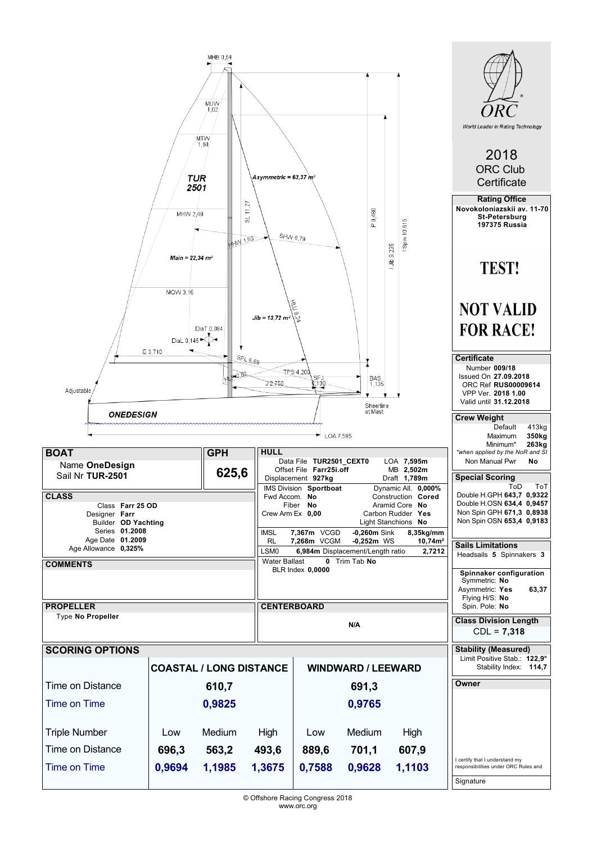|                                                                                                                       | Asymmetric = 63.37 $m2$                                                        |                             |                                                                       |                                                                                                                                                   | World Leader in Rating Technology<br>2018<br><b>ORC Club</b><br>Certificate<br><b>Rating Office</b> |                                                                                                        |                                                                                                                                                                                                                |
|-----------------------------------------------------------------------------------------------------------------------|--------------------------------------------------------------------------------|-----------------------------|-----------------------------------------------------------------------|---------------------------------------------------------------------------------------------------------------------------------------------------|-----------------------------------------------------------------------------------------------------|--------------------------------------------------------------------------------------------------------|----------------------------------------------------------------------------------------------------------------------------------------------------------------------------------------------------------------|
|                                                                                                                       | MHW 2,49<br>Main = $22,34$ m <sup>2</sup><br>MQW 3,16<br>DiaL 0,145<br>E 3,710 | <b>MM 153</b><br>DiaT 0.084 | SL 11,27<br>SHW 6,79<br>$Jib = 13,72 \, m^2$                          | 9.24                                                                                                                                              | 9,480<br>Û.                                                                                         | Spin 10,615<br>9,235<br>$\frac{4}{3}$                                                                  | Novokoloniazskii av. 11-70<br><b>St-Petersburg</b><br><b>197375 Russia</b><br><b>TEST!</b><br><b>NOT VALID</b><br><b>FOR RACE!</b>                                                                             |
| Adjustable<br>ONEDESIGN                                                                                               |                                                                                |                             | $SEL_{6,59}$<br>J2-750                                                | TPS 4,200<br>SFJ<br>0130                                                                                                                          | <b>BAS</b><br>1,135<br>Sheerline<br>at Mast                                                         |                                                                                                        | <b>Certificate</b><br>Number 009/18<br>Issued On 27.09.2018<br>ORC Ref RUS00009614<br>VPP Ver. 2018 1.00<br>Valid until 31.12.2018<br><b>Crew Weight</b><br>Default<br>413kg                                   |
| <b>BOAT</b><br>Name OneDesign<br>Sail Nr TUR-2501<br><b>CLASS</b><br>Class Farr 25 OD                                 |                                                                                | <b>GPH</b><br>625,6         | <b>HULL</b><br>Fwd Accom. No                                          | $\blacktriangleright$ LOA 7,595<br>Data File TUR2501_CEXT0<br>Offset File Farr25i.off<br>Displacement 927kg<br>IMS Division Sportboat<br>Fiber No |                                                                                                     | LOA 7,595m<br>MB 2,502m<br>Draft 1,789m<br>Dynamic All. 0,000%<br>Construction Cored<br>Aramid Core No | 350 <sub>kg</sub><br>Maximum<br>Minimum*<br>263kg<br>*when applied by the NoR and SI<br>Non Manual Pwr<br>No<br><b>Special Scoring</b><br>ToD<br>ToT<br>Double H.GPH 643,7 0,9322<br>Double H.OSN 634,4 0,9457 |
| Designer Farr<br>Builder OD Yachting<br>Series 01.2008<br>Age Date 01.2009<br>Age Allowance 0,325%<br><b>COMMENTS</b> |                                                                                |                             | Crew Arm Ex 0,00<br><b>IMSL</b><br>RL<br>LSM0<br><b>Water Ballast</b> | 7,367m VCGD<br>7,268m VCGM<br><b>BLR Index 0,0000</b>                                                                                             | $-0,260m$ Sink<br>$-0,252m$ WS<br>6,984m Displacement/Length ratio<br>0 Trim Tab No                 | Carbon Rudder Yes<br>Light Stanchions No<br>8,35kg/mm<br>$10,74m^2$<br>2,7212                          | Non Spin GPH 671,3 0,8938<br>Non Spin OSN 653,4 0,9183<br><b>Sails Limitations</b><br>Headsails 5 Spinnakers 3<br>Spinnaker configuration<br>Symmetric: No<br>Asymmetric: Yes<br>63,37                         |
| <b>PROPELLER</b><br>Type No Propeller                                                                                 |                                                                                |                             |                                                                       | <b>CENTERBOARD</b>                                                                                                                                | N/A                                                                                                 |                                                                                                        | Flying H/S: No<br>Spin. Pole: No<br><b>Class Division Length</b><br>$CDL = 7,318$                                                                                                                              |
| <b>SCORING OPTIONS</b>                                                                                                | <b>COASTAL / LONG DISTANCE</b>                                                 |                             |                                                                       |                                                                                                                                                   | <b>WINDWARD / LEEWARD</b>                                                                           |                                                                                                        | <b>Stability (Measured)</b><br>Limit Positive Stab.: 122,9°<br>Stability Index: 114,7                                                                                                                          |
| Time on Distance<br>610,7                                                                                             |                                                                                |                             |                                                                       |                                                                                                                                                   | Owner                                                                                               |                                                                                                        |                                                                                                                                                                                                                |
| Time on Time                                                                                                          |                                                                                | 0,9825                      |                                                                       |                                                                                                                                                   | 0,9765                                                                                              |                                                                                                        |                                                                                                                                                                                                                |
| <b>Triple Number</b>                                                                                                  | Low                                                                            | Medium                      | High                                                                  | Low                                                                                                                                               | Medium                                                                                              | High                                                                                                   |                                                                                                                                                                                                                |
| Time on Distance                                                                                                      | 696,3                                                                          | 563,2                       | 493,6                                                                 | 889,6                                                                                                                                             | 701,1                                                                                               | 607,9                                                                                                  | I certify that I understand my                                                                                                                                                                                 |
| <b>Time on Time</b>                                                                                                   | 0,9694                                                                         | 1,1985                      | 1,3675                                                                | 0,7588                                                                                                                                            | 0,9628                                                                                              | 1,1103                                                                                                 | responsibilities under ORC Rules and<br>Signature                                                                                                                                                              |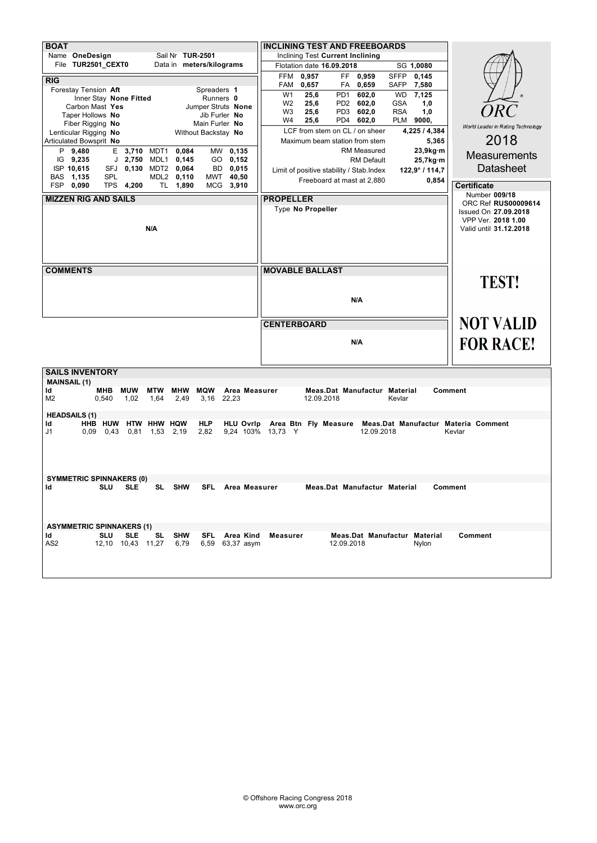| <b>BOAT</b>                                                                                         | <b>INCLINING TEST AND FREEBOARDS</b>                                                                                                 |                                   |  |  |  |
|-----------------------------------------------------------------------------------------------------|--------------------------------------------------------------------------------------------------------------------------------------|-----------------------------------|--|--|--|
| Sail Nr TUR-2501<br>Name OneDesign                                                                  | Inclining Test Current Inclining                                                                                                     |                                   |  |  |  |
| File TUR2501_CEXT0<br>Data in meters/kilograms                                                      | Flotation date 16.09.2018<br>SG 1,0080                                                                                               |                                   |  |  |  |
| <b>RIG</b>                                                                                          | FF 0,959<br><b>SFFP</b><br>FFM<br>0,957<br>0,145                                                                                     |                                   |  |  |  |
| Forestay Tension Aft<br>Spreaders 1                                                                 | 0,657<br>FA 0,659<br>SAFP<br>7,580<br>FAM                                                                                            |                                   |  |  |  |
| Inner Stay None Fitted<br>Runners 0                                                                 | 602,0<br>W <sub>1</sub><br>25,6<br>PD <sub>1</sub><br><b>WD</b><br>7,125<br>PD2 602,0<br>W <sub>2</sub><br>25,6<br><b>GSA</b><br>1,0 |                                   |  |  |  |
| Carbon Mast Yes<br>Jumper Struts None                                                               | <b>RSA</b><br>W3<br>25,6<br>PD3<br>602,0<br>1,0                                                                                      | ORC                               |  |  |  |
| Taper Hollows No<br>Jib Furler No<br>Fiber Rigging No<br>Main Furler No                             | PD4 602,0<br>W4<br>25,6<br>PLM 9000,                                                                                                 |                                   |  |  |  |
| Lenticular Rigging No<br>Without Backstay No                                                        | LCF from stem on CL / on sheer<br>4,225 / 4,384                                                                                      | World Leader in Rating Technology |  |  |  |
| Articulated Bowsprit No                                                                             | 5,365<br>Maximum beam station from stem                                                                                              | 2018                              |  |  |  |
| P 9,480<br>E 3,710 MDT1<br>0,084<br>MW 0,135                                                        | <b>RM Measured</b><br>23,9kg·m                                                                                                       | <b>Measurements</b>               |  |  |  |
| $IG$ 9,235<br>$J$ 2,750<br>MDL1<br>0,145<br>GO 0,152                                                | <b>RM Default</b><br>25,7kg·m                                                                                                        |                                   |  |  |  |
| ISP 10,615<br>SFJ 0.130<br>MDT2 0,064<br>BD.<br>0,015                                               | Limit of positive stability / Stab. Index<br>$122,9^{\circ}$ / 114,7                                                                 | <b>Datasheet</b>                  |  |  |  |
| BAS 1,135<br>SPL<br>MDL2 0,110<br>MWT<br>40,50<br>FSP 0,090<br>TPS 4,200<br>TL 1,890<br>MCG 3,910   | Freeboard at mast at 2,880<br>0,854                                                                                                  | <b>Certificate</b>                |  |  |  |
|                                                                                                     |                                                                                                                                      | Number 009/18                     |  |  |  |
| <b>MIZZEN RIG AND SAILS</b>                                                                         | <b>PROPELLER</b>                                                                                                                     | ORC Ref RUS00009614               |  |  |  |
|                                                                                                     | Type No Propeller                                                                                                                    | Issued On 27.09.2018              |  |  |  |
|                                                                                                     |                                                                                                                                      | VPP Ver. 2018 1.00                |  |  |  |
| N/A                                                                                                 |                                                                                                                                      | Valid until 31.12.2018            |  |  |  |
|                                                                                                     |                                                                                                                                      |                                   |  |  |  |
|                                                                                                     |                                                                                                                                      |                                   |  |  |  |
|                                                                                                     |                                                                                                                                      |                                   |  |  |  |
| <b>COMMENTS</b>                                                                                     | <b>MOVABLE BALLAST</b>                                                                                                               |                                   |  |  |  |
|                                                                                                     |                                                                                                                                      | <b>TEST!</b>                      |  |  |  |
|                                                                                                     |                                                                                                                                      |                                   |  |  |  |
|                                                                                                     | N/A                                                                                                                                  |                                   |  |  |  |
|                                                                                                     |                                                                                                                                      |                                   |  |  |  |
|                                                                                                     | <b>CENTERBOARD</b>                                                                                                                   | <b>NOT VALID</b>                  |  |  |  |
|                                                                                                     | N/A                                                                                                                                  | <b>FOR RACE!</b>                  |  |  |  |
|                                                                                                     |                                                                                                                                      |                                   |  |  |  |
|                                                                                                     |                                                                                                                                      |                                   |  |  |  |
| <b>SAILS INVENTORY</b>                                                                              |                                                                                                                                      |                                   |  |  |  |
| <b>MAINSAIL (1)</b>                                                                                 |                                                                                                                                      |                                   |  |  |  |
| <b>MUW</b><br><b>MTW</b><br><b>MHW</b><br><b>MQW</b><br>Area Measurer<br>ld<br>мнв                  | Meas.Dat Manufactur Material                                                                                                         | <b>Comment</b>                    |  |  |  |
| M <sub>2</sub><br>1,02<br>2,49<br>0,540<br>1,64<br>3,16<br>22,23                                    | 12.09.2018<br>Kevlar                                                                                                                 |                                   |  |  |  |
| <b>HEADSAILS (1)</b>                                                                                |                                                                                                                                      |                                   |  |  |  |
| HHB HUW<br>HTW HHW HQW<br><b>HLP</b><br>Id                                                          | HLU Ovrip Area Btn Fly Measure Meas.Dat Manufactur Materia Comment                                                                   |                                   |  |  |  |
| J1<br>0,81 1,53 2,19<br>2,82<br>0,09<br>0,43                                                        | 9,24 103% 13,73 Y<br>12.09.2018                                                                                                      | Kevlar                            |  |  |  |
|                                                                                                     |                                                                                                                                      |                                   |  |  |  |
|                                                                                                     |                                                                                                                                      |                                   |  |  |  |
|                                                                                                     |                                                                                                                                      |                                   |  |  |  |
|                                                                                                     |                                                                                                                                      |                                   |  |  |  |
| <b>SYMMETRIC SPINNAKERS (0)</b><br><b>SHW</b><br>SLU SLE<br><b>SL</b><br>SFL<br>Area Measurer<br>Id | Meas.Dat Manufactur Material                                                                                                         | Comment                           |  |  |  |
|                                                                                                     |                                                                                                                                      |                                   |  |  |  |
|                                                                                                     |                                                                                                                                      |                                   |  |  |  |
|                                                                                                     |                                                                                                                                      |                                   |  |  |  |
| <b>ASYMMETRIC SPINNAKERS (1)</b>                                                                    |                                                                                                                                      |                                   |  |  |  |
| <b>SHW</b><br>Id<br><b>SLU</b><br><b>SLE</b><br>SL<br><b>SFL</b><br>Area Kind                       | Meas.Dat Manufactur Material<br>Measurer                                                                                             | Comment                           |  |  |  |
| AS <sub>2</sub><br>12,10 10,43 11,27<br>6,79<br>6,59 63,37 asym                                     | 12.09.2018<br>Nylon                                                                                                                  |                                   |  |  |  |
|                                                                                                     |                                                                                                                                      |                                   |  |  |  |
|                                                                                                     |                                                                                                                                      |                                   |  |  |  |
|                                                                                                     |                                                                                                                                      |                                   |  |  |  |